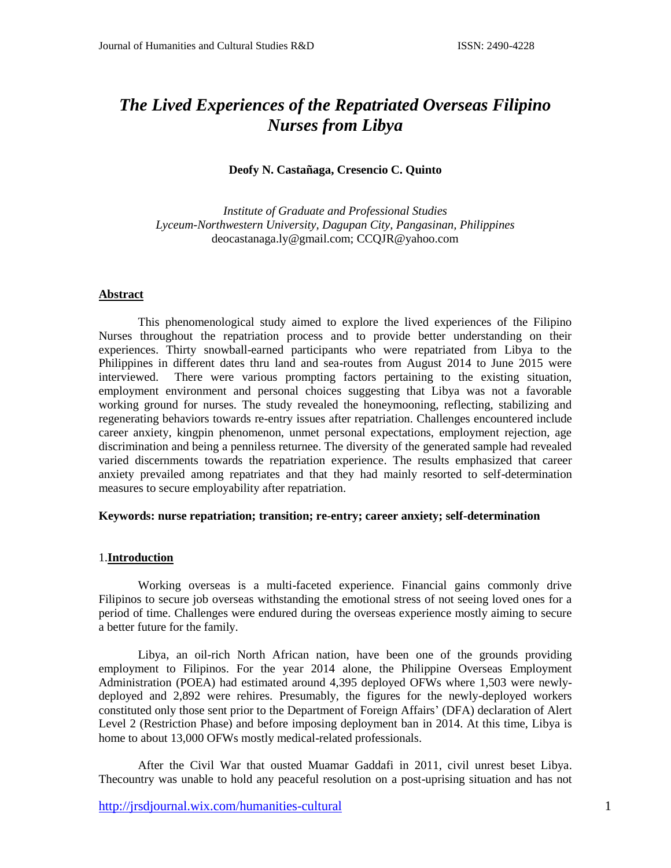# *The Lived Experiences of the Repatriated Overseas Filipino Nurses from Libya*

# **Deofy N. Castañaga, Cresencio C. Quinto**

*Institute of Graduate and Professional Studies Lyceum-Northwestern University, Dagupan City, Pangasinan, Philippines* deocastanaga.ly@gmail.com; CCQJR@yahoo.com

# **Abstract**

This phenomenological study aimed to explore the lived experiences of the Filipino Nurses throughout the repatriation process and to provide better understanding on their experiences. Thirty snowball-earned participants who were repatriated from Libya to the Philippines in different dates thru land and sea-routes from August 2014 to June 2015 were interviewed. There were various prompting factors pertaining to the existing situation, employment environment and personal choices suggesting that Libya was not a favorable working ground for nurses. The study revealed the honeymooning, reflecting, stabilizing and regenerating behaviors towards re-entry issues after repatriation. Challenges encountered include career anxiety, kingpin phenomenon, unmet personal expectations, employment rejection, age discrimination and being a penniless returnee. The diversity of the generated sample had revealed varied discernments towards the repatriation experience. The results emphasized that career anxiety prevailed among repatriates and that they had mainly resorted to self-determination measures to secure employability after repatriation.

# **Keywords: nurse repatriation; transition; re-entry; career anxiety; self-determination**

# 1.**Introduction**

Working overseas is a multi-faceted experience. Financial gains commonly drive Filipinos to secure job overseas withstanding the emotional stress of not seeing loved ones for a period of time. Challenges were endured during the overseas experience mostly aiming to secure a better future for the family.

Libya, an oil-rich North African nation, have been one of the grounds providing employment to Filipinos. For the year 2014 alone, the Philippine Overseas Employment Administration (POEA) had estimated around 4,395 deployed OFWs where 1,503 were newlydeployed and 2,892 were rehires. Presumably, the figures for the newly-deployed workers constituted only those sent prior to the Department of Foreign Affairs' (DFA) declaration of Alert Level 2 (Restriction Phase) and before imposing deployment ban in 2014. At this time, Libya is home to about 13,000 OFWs mostly medical-related professionals.

After the Civil War that ousted Muamar Gaddafi in 2011, civil unrest beset Libya. Thecountry was unable to hold any peaceful resolution on a post-uprising situation and has not

<http://jrsdjournal.wix.com/humanities-cultural> 1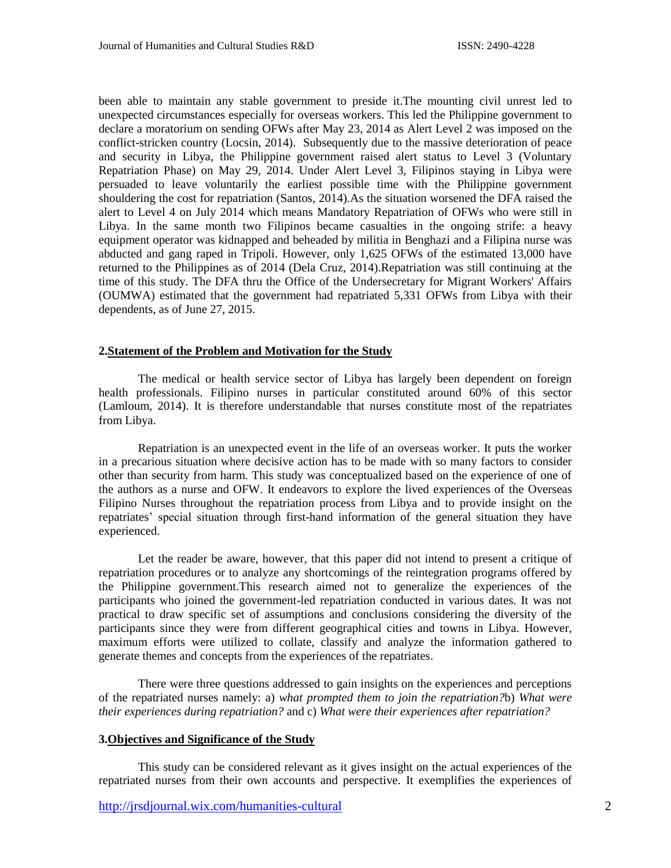been able to maintain any stable government to preside it.The mounting civil unrest led to unexpected circumstances especially for overseas workers. This led the Philippine government to declare a moratorium on sending OFWs after May 23, 2014 as Alert Level 2 was imposed on the conflict-stricken country (Locsin, 2014). Subsequently due to the massive deterioration of peace and security in Libya, the Philippine government raised alert status to Level 3 (Voluntary Repatriation Phase) on May 29, 2014. Under Alert Level 3, Filipinos staying in Libya were persuaded to leave voluntarily the earliest possible time with the Philippine government shouldering the cost for repatriation (Santos, 2014).As the situation worsened the DFA raised the alert to Level 4 on July 2014 which means Mandatory Repatriation of OFWs who were still in Libya. In the same month two Filipinos became casualties in the ongoing strife: a heavy equipment operator was kidnapped and beheaded by militia in Benghazi and a Filipina nurse was abducted and gang raped in Tripoli. However, only 1,625 OFWs of the estimated 13,000 have returned to the Philippines as of 2014 (Dela Cruz, 2014).Repatriation was still continuing at the time of this study. The DFA thru the Office of the Undersecretary for Migrant Workers' Affairs (OUMWA) estimated that the government had repatriated 5,331 OFWs from Libya with their dependents, as of June 27, 2015.

## **2.Statement of the Problem and Motivation for the Study**

The medical or health service sector of Libya has largely been dependent on foreign health professionals. Filipino nurses in particular constituted around 60% of this sector (Lamloum, 2014). It is therefore understandable that nurses constitute most of the repatriates from Libya.

Repatriation is an unexpected event in the life of an overseas worker. It puts the worker in a precarious situation where decisive action has to be made with so many factors to consider other than security from harm. This study was conceptualized based on the experience of one of the authors as a nurse and OFW. It endeavors to explore the lived experiences of the Overseas Filipino Nurses throughout the repatriation process from Libya and to provide insight on the repatriates' special situation through first-hand information of the general situation they have experienced.

Let the reader be aware, however, that this paper did not intend to present a critique of repatriation procedures or to analyze any shortcomings of the reintegration programs offered by the Philippine government.This research aimed not to generalize the experiences of the participants who joined the government-led repatriation conducted in various dates. It was not practical to draw specific set of assumptions and conclusions considering the diversity of the participants since they were from different geographical cities and towns in Libya. However, maximum efforts were utilized to collate, classify and analyze the information gathered to generate themes and concepts from the experiences of the repatriates.

There were three questions addressed to gain insights on the experiences and perceptions of the repatriated nurses namely: a) *what prompted them to join the repatriation?*b) *What were their experiences during repatriation?* and c) *What were their experiences after repatriation?*

#### **3.Objectives and Significance of the Study**

This study can be considered relevant as it gives insight on the actual experiences of the repatriated nurses from their own accounts and perspective. It exemplifies the experiences of

<http://jrsdjournal.wix.com/humanities-cultural> 2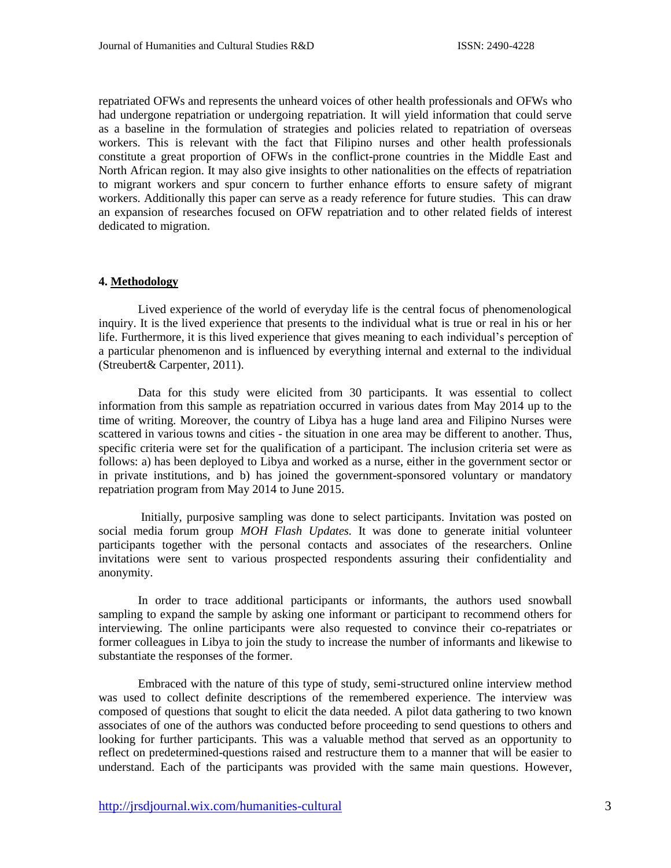repatriated OFWs and represents the unheard voices of other health professionals and OFWs who had undergone repatriation or undergoing repatriation. It will yield information that could serve as a baseline in the formulation of strategies and policies related to repatriation of overseas workers. This is relevant with the fact that Filipino nurses and other health professionals constitute a great proportion of OFWs in the conflict-prone countries in the Middle East and North African region. It may also give insights to other nationalities on the effects of repatriation to migrant workers and spur concern to further enhance efforts to ensure safety of migrant workers. Additionally this paper can serve as a ready reference for future studies. This can draw an expansion of researches focused on OFW repatriation and to other related fields of interest dedicated to migration.

#### **4. Methodology**

Lived experience of the world of everyday life is the central focus of phenomenological inquiry. It is the lived experience that presents to the individual what is true or real in his or her life. Furthermore, it is this lived experience that gives meaning to each individual's perception of a particular phenomenon and is influenced by everything internal and external to the individual (Streubert& Carpenter, 2011).

Data for this study were elicited from 30 participants. It was essential to collect information from this sample as repatriation occurred in various dates from May 2014 up to the time of writing. Moreover, the country of Libya has a huge land area and Filipino Nurses were scattered in various towns and cities - the situation in one area may be different to another. Thus, specific criteria were set for the qualification of a participant. The inclusion criteria set were as follows: a) has been deployed to Libya and worked as a nurse, either in the government sector or in private institutions, and b) has joined the government-sponsored voluntary or mandatory repatriation program from May 2014 to June 2015.

Initially, purposive sampling was done to select participants. Invitation was posted on social media forum group *MOH Flash Updates.* It was done to generate initial volunteer participants together with the personal contacts and associates of the researchers. Online invitations were sent to various prospected respondents assuring their confidentiality and anonymity.

In order to trace additional participants or informants, the authors used snowball sampling to expand the sample by asking one informant or participant to recommend others for interviewing. The online participants were also requested to convince their co-repatriates or former colleagues in Libya to join the study to increase the number of informants and likewise to substantiate the responses of the former.

Embraced with the nature of this type of study, semi-structured online interview method was used to collect definite descriptions of the remembered experience. The interview was composed of questions that sought to elicit the data needed. A pilot data gathering to two known associates of one of the authors was conducted before proceeding to send questions to others and looking for further participants. This was a valuable method that served as an opportunity to reflect on predetermined-questions raised and restructure them to a manner that will be easier to understand. Each of the participants was provided with the same main questions. However,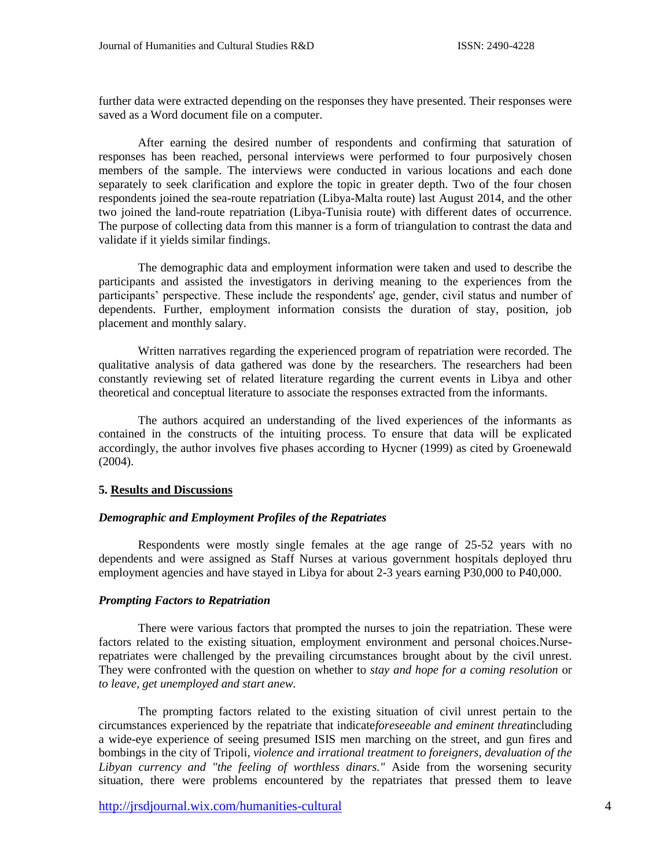further data were extracted depending on the responses they have presented. Their responses were saved as a Word document file on a computer.

After earning the desired number of respondents and confirming that saturation of responses has been reached, personal interviews were performed to four purposively chosen members of the sample. The interviews were conducted in various locations and each done separately to seek clarification and explore the topic in greater depth. Two of the four chosen respondents joined the sea-route repatriation (Libya-Malta route) last August 2014, and the other two joined the land-route repatriation (Libya-Tunisia route) with different dates of occurrence. The purpose of collecting data from this manner is a form of triangulation to contrast the data and validate if it yields similar findings.

The demographic data and employment information were taken and used to describe the participants and assisted the investigators in deriving meaning to the experiences from the participants' perspective. These include the respondents' age, gender, civil status and number of dependents. Further, employment information consists the duration of stay, position, job placement and monthly salary.

Written narratives regarding the experienced program of repatriation were recorded. The qualitative analysis of data gathered was done by the researchers. The researchers had been constantly reviewing set of related literature regarding the current events in Libya and other theoretical and conceptual literature to associate the responses extracted from the informants.

The authors acquired an understanding of the lived experiences of the informants as contained in the constructs of the intuiting process. To ensure that data will be explicated accordingly, the author involves five phases according to Hycner (1999) as cited by Groenewald (2004).

## **5. Results and Discussions**

## *Demographic and Employment Profiles of the Repatriates*

Respondents were mostly single females at the age range of 25-52 years with no dependents and were assigned as Staff Nurses at various government hospitals deployed thru employment agencies and have stayed in Libya for about 2-3 years earning P30,000 to P40,000.

#### *Prompting Factors to Repatriation*

There were various factors that prompted the nurses to join the repatriation. These were factors related to the existing situation, employment environment and personal choices.Nurserepatriates were challenged by the prevailing circumstances brought about by the civil unrest. They were confronted with the question on whether to *stay and hope for a coming resolution* or *to leave, get unemployed and start anew.*

The prompting factors related to the existing situation of civil unrest pertain to the circumstances experienced by the repatriate that indicate*foreseeable and eminent threat*including a wide-eye experience of seeing presumed ISIS men marching on the street, and gun fires and bombings in the city of Tripoli*, violence and irrational treatment to foreigners, devaluation of the Libyan currency and "the feeling of worthless dinars."* Aside from the worsening security situation, there were problems encountered by the repatriates that pressed them to leave

<http://jrsdjournal.wix.com/humanities-cultural> 4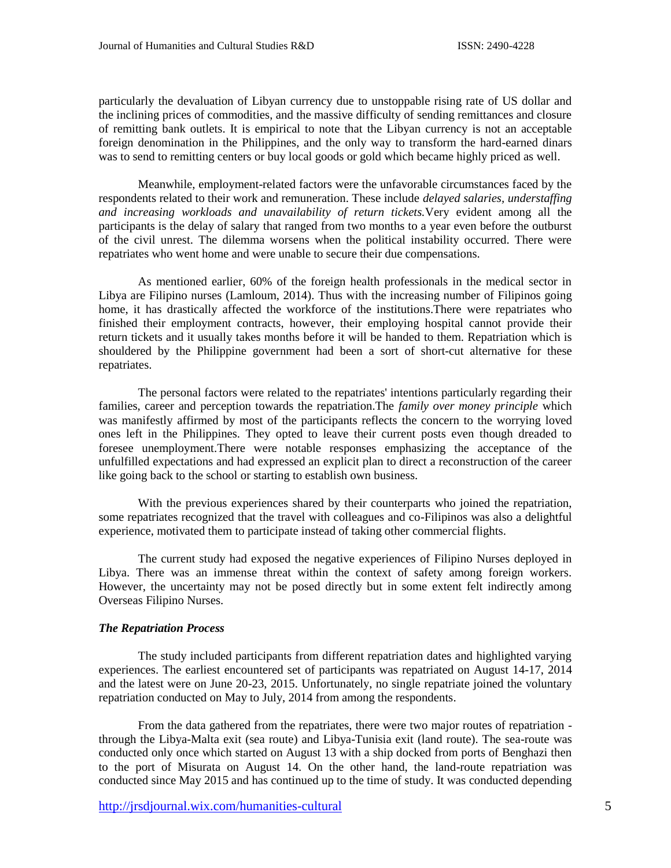particularly the devaluation of Libyan currency due to unstoppable rising rate of US dollar and the inclining prices of commodities, and the massive difficulty of sending remittances and closure of remitting bank outlets. It is empirical to note that the Libyan currency is not an acceptable foreign denomination in the Philippines, and the only way to transform the hard-earned dinars was to send to remitting centers or buy local goods or gold which became highly priced as well.

Meanwhile, employment-related factors were the unfavorable circumstances faced by the respondents related to their work and remuneration. These include *delayed salaries, understaffing and increasing workloads and unavailability of return tickets.*Very evident among all the participants is the delay of salary that ranged from two months to a year even before the outburst of the civil unrest. The dilemma worsens when the political instability occurred. There were repatriates who went home and were unable to secure their due compensations.

As mentioned earlier, 60% of the foreign health professionals in the medical sector in Libya are Filipino nurses (Lamloum, 2014). Thus with the increasing number of Filipinos going home, it has drastically affected the workforce of the institutions.There were repatriates who finished their employment contracts, however, their employing hospital cannot provide their return tickets and it usually takes months before it will be handed to them. Repatriation which is shouldered by the Philippine government had been a sort of short-cut alternative for these repatriates.

The personal factors were related to the repatriates' intentions particularly regarding their families, career and perception towards the repatriation.The *family over money principle* which was manifestly affirmed by most of the participants reflects the concern to the worrying loved ones left in the Philippines. They opted to leave their current posts even though dreaded to foresee unemployment.There were notable responses emphasizing the acceptance of the unfulfilled expectations and had expressed an explicit plan to direct a reconstruction of the career like going back to the school or starting to establish own business.

With the previous experiences shared by their counterparts who joined the repatriation, some repatriates recognized that the travel with colleagues and co-Filipinos was also a delightful experience, motivated them to participate instead of taking other commercial flights.

The current study had exposed the negative experiences of Filipino Nurses deployed in Libya. There was an immense threat within the context of safety among foreign workers. However, the uncertainty may not be posed directly but in some extent felt indirectly among Overseas Filipino Nurses.

# *The Repatriation Process*

The study included participants from different repatriation dates and highlighted varying experiences. The earliest encountered set of participants was repatriated on August 14-17, 2014 and the latest were on June 20-23, 2015. Unfortunately, no single repatriate joined the voluntary repatriation conducted on May to July, 2014 from among the respondents.

From the data gathered from the repatriates, there were two major routes of repatriation through the Libya-Malta exit (sea route) and Libya-Tunisia exit (land route). The sea-route was conducted only once which started on August 13 with a ship docked from ports of Benghazi then to the port of Misurata on August 14. On the other hand, the land-route repatriation was conducted since May 2015 and has continued up to the time of study. It was conducted depending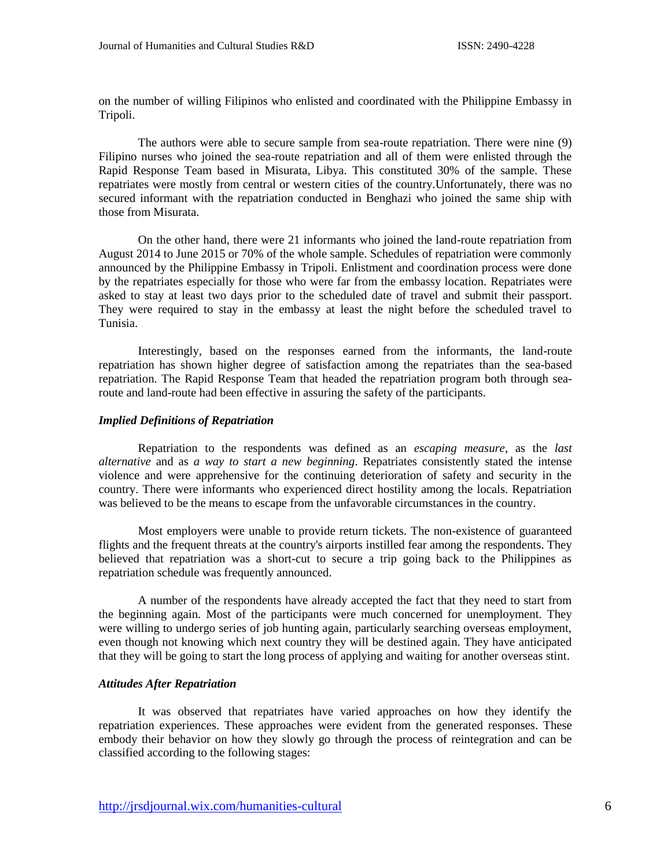on the number of willing Filipinos who enlisted and coordinated with the Philippine Embassy in Tripoli.

The authors were able to secure sample from sea-route repatriation. There were nine (9) Filipino nurses who joined the sea-route repatriation and all of them were enlisted through the Rapid Response Team based in Misurata, Libya. This constituted 30% of the sample. These repatriates were mostly from central or western cities of the country.Unfortunately, there was no secured informant with the repatriation conducted in Benghazi who joined the same ship with those from Misurata.

On the other hand, there were 21 informants who joined the land-route repatriation from August 2014 to June 2015 or 70% of the whole sample. Schedules of repatriation were commonly announced by the Philippine Embassy in Tripoli. Enlistment and coordination process were done by the repatriates especially for those who were far from the embassy location. Repatriates were asked to stay at least two days prior to the scheduled date of travel and submit their passport. They were required to stay in the embassy at least the night before the scheduled travel to Tunisia.

Interestingly, based on the responses earned from the informants, the land-route repatriation has shown higher degree of satisfaction among the repatriates than the sea-based repatriation. The Rapid Response Team that headed the repatriation program both through searoute and land-route had been effective in assuring the safety of the participants.

#### *Implied Definitions of Repatriation*

Repatriation to the respondents was defined as an *escaping measure*, as the *last alternative* and as *a way to start a new beginning*. Repatriates consistently stated the intense violence and were apprehensive for the continuing deterioration of safety and security in the country. There were informants who experienced direct hostility among the locals. Repatriation was believed to be the means to escape from the unfavorable circumstances in the country.

Most employers were unable to provide return tickets. The non-existence of guaranteed flights and the frequent threats at the country's airports instilled fear among the respondents. They believed that repatriation was a short-cut to secure a trip going back to the Philippines as repatriation schedule was frequently announced.

A number of the respondents have already accepted the fact that they need to start from the beginning again. Most of the participants were much concerned for unemployment. They were willing to undergo series of job hunting again, particularly searching overseas employment, even though not knowing which next country they will be destined again. They have anticipated that they will be going to start the long process of applying and waiting for another overseas stint.

#### *Attitudes After Repatriation*

It was observed that repatriates have varied approaches on how they identify the repatriation experiences. These approaches were evident from the generated responses. These embody their behavior on how they slowly go through the process of reintegration and can be classified according to the following stages: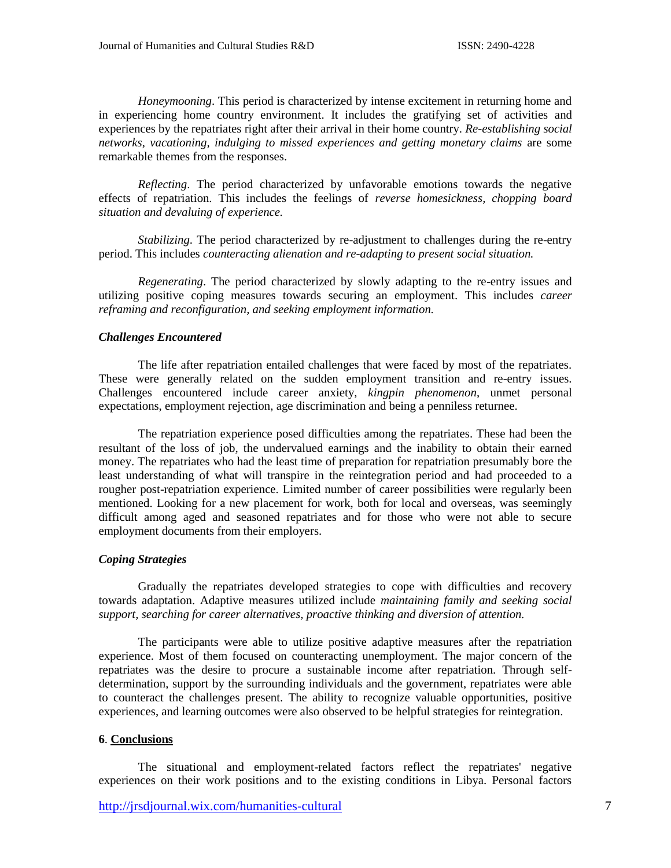*Honeymooning*. This period is characterized by intense excitement in returning home and in experiencing home country environment. It includes the gratifying set of activities and experiences by the repatriates right after their arrival in their home country. *Re-establishing social networks, vacationing, indulging to missed experiences and getting monetary claims* are some remarkable themes from the responses.

*Reflecting*. The period characterized by unfavorable emotions towards the negative effects of repatriation. This includes the feelings of *reverse homesickness, chopping board situation and devaluing of experience.*

*Stabilizing*. The period characterized by re-adjustment to challenges during the re-entry period. This includes *counteracting alienation and re-adapting to present social situation.*

*Regenerating*. The period characterized by slowly adapting to the re-entry issues and utilizing positive coping measures towards securing an employment. This includes *career reframing and reconfiguration, and seeking employment information.*

## *Challenges Encountered*

The life after repatriation entailed challenges that were faced by most of the repatriates. These were generally related on the sudden employment transition and re-entry issues. Challenges encountered include career anxiety, *kingpin phenomenon*, unmet personal expectations, employment rejection, age discrimination and being a penniless returnee.

The repatriation experience posed difficulties among the repatriates. These had been the resultant of the loss of job, the undervalued earnings and the inability to obtain their earned money. The repatriates who had the least time of preparation for repatriation presumably bore the least understanding of what will transpire in the reintegration period and had proceeded to a rougher post-repatriation experience. Limited number of career possibilities were regularly been mentioned. Looking for a new placement for work, both for local and overseas, was seemingly difficult among aged and seasoned repatriates and for those who were not able to secure employment documents from their employers.

#### *Coping Strategies*

Gradually the repatriates developed strategies to cope with difficulties and recovery towards adaptation. Adaptive measures utilized include *maintaining family and seeking social support, searching for career alternatives, proactive thinking and diversion of attention.*

The participants were able to utilize positive adaptive measures after the repatriation experience. Most of them focused on counteracting unemployment. The major concern of the repatriates was the desire to procure a sustainable income after repatriation. Through selfdetermination, support by the surrounding individuals and the government, repatriates were able to counteract the challenges present. The ability to recognize valuable opportunities, positive experiences, and learning outcomes were also observed to be helpful strategies for reintegration.

#### **6**. **Conclusions**

The situational and employment-related factors reflect the repatriates' negative experiences on their work positions and to the existing conditions in Libya. Personal factors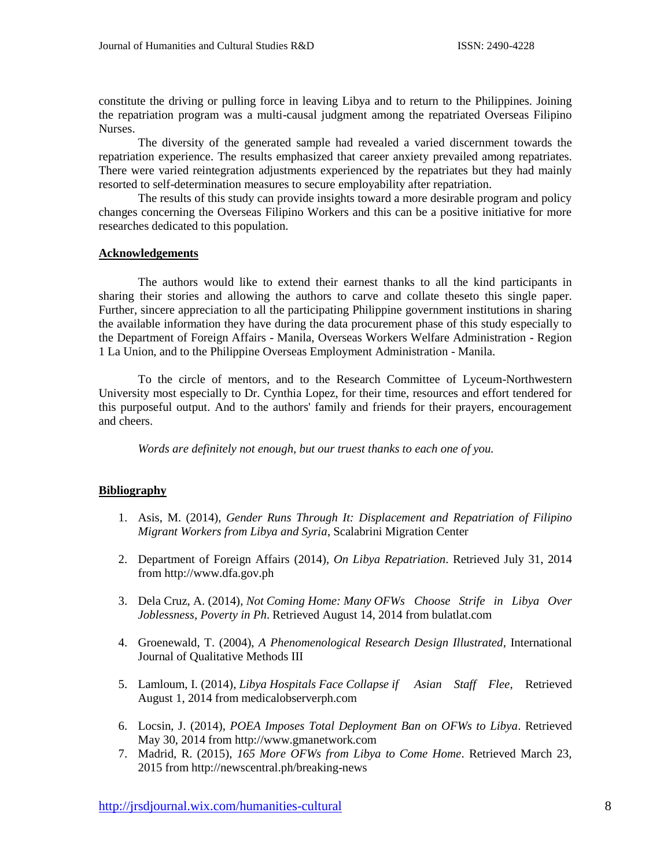constitute the driving or pulling force in leaving Libya and to return to the Philippines. Joining the repatriation program was a multi-causal judgment among the repatriated Overseas Filipino Nurses.

The diversity of the generated sample had revealed a varied discernment towards the repatriation experience. The results emphasized that career anxiety prevailed among repatriates. There were varied reintegration adjustments experienced by the repatriates but they had mainly resorted to self-determination measures to secure employability after repatriation.

The results of this study can provide insights toward a more desirable program and policy changes concerning the Overseas Filipino Workers and this can be a positive initiative for more researches dedicated to this population.

#### **Acknowledgements**

The authors would like to extend their earnest thanks to all the kind participants in sharing their stories and allowing the authors to carve and collate theseto this single paper. Further, sincere appreciation to all the participating Philippine government institutions in sharing the available information they have during the data procurement phase of this study especially to the Department of Foreign Affairs - Manila, Overseas Workers Welfare Administration - Region 1 La Union, and to the Philippine Overseas Employment Administration - Manila.

To the circle of mentors, and to the Research Committee of Lyceum-Northwestern University most especially to Dr. Cynthia Lopez, for their time, resources and effort tendered for this purposeful output. And to the authors' family and friends for their prayers, encouragement and cheers.

*Words are definitely not enough, but our truest thanks to each one of you.*

# **Bibliography**

- 1. Asis, M. (2014), *Gender Runs Through It: Displacement and Repatriation of Filipino Migrant Workers from Libya and Syria*, Scalabrini Migration Center
- 2. Department of Foreign Affairs (2014), *On Libya Repatriation*. Retrieved July 31, 2014 from http://www.dfa.gov.ph
- 3. Dela Cruz, A. (2014), *Not Coming Home: Many OFWs Choose Strife in Libya Over Joblessness, Poverty in Ph*. Retrieved August 14, 2014 from bulatlat.com
- 4. Groenewald, T. (2004), *A Phenomenological Research Design Illustrated*, International Journal of Qualitative Methods III
- 5. Lamloum, I. (2014), *Libya Hospitals Face Collapse if Asian Staff Flee*, Retrieved August 1, 2014 from medicalobserverph.com
- 6. Locsin, J. (2014), *POEA Imposes Total Deployment Ban on OFWs to Libya*. Retrieved May 30, 2014 from http://www.gmanetwork.com
- 7. Madrid, R. (2015), *165 More OFWs from Libya to Come Home*. Retrieved March 23, 2015 from http://newscentral.ph/breaking-news